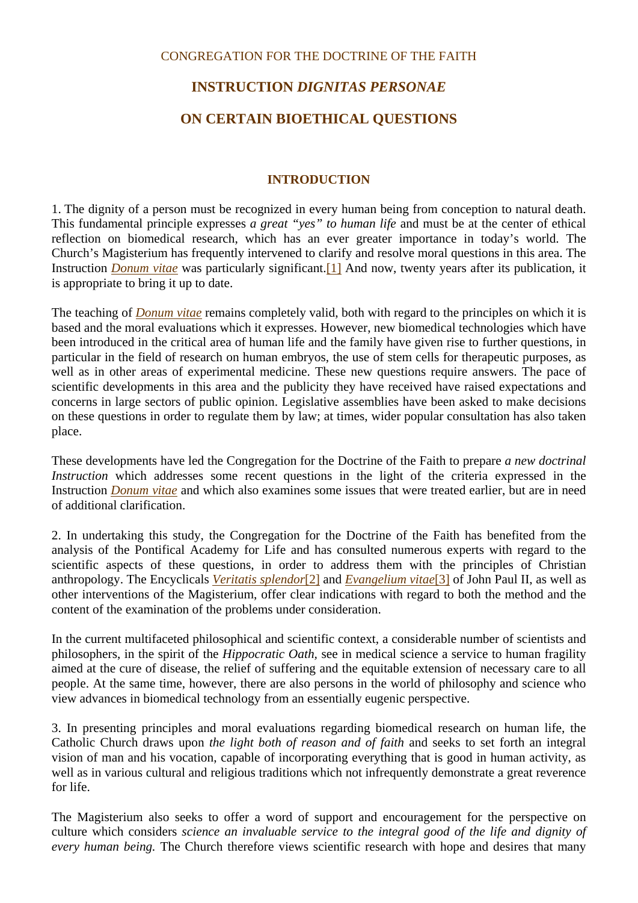### CONGREGATION FOR THE DOCTRINE OF THE FAITH

# **INSTRUCTION** *DIGNITAS PERSONAE*

# **ON CERTAIN BIOETHICAL QUESTIONS**

### **INTRODUCTION**

1. The dignity of a person must be recognized in every human being from conception to natural death. This fundamental principle expresses *a great "yes" to human life* and must be at the center of ethical reflection on biomedical research, which has an ever greater importance in today's world. The Church's Magisterium has frequently intervened to clarify and resolve moral questions in this area. The Instruction *Donum vitae* was particularly significant.[1] And now, twenty years after its publication, it is appropriate to bring it up to date.

The teaching of *Donum vitae* remains completely valid, both with regard to the principles on which it is based and the moral evaluations which it expresses. However, new biomedical technologies which have been introduced in the critical area of human life and the family have given rise to further questions, in particular in the field of research on human embryos, the use of stem cells for therapeutic purposes, as well as in other areas of experimental medicine. These new questions require answers. The pace of scientific developments in this area and the publicity they have received have raised expectations and concerns in large sectors of public opinion. Legislative assemblies have been asked to make decisions on these questions in order to regulate them by law; at times, wider popular consultation has also taken place.

These developments have led the Congregation for the Doctrine of the Faith to prepare *a new doctrinal Instruction* which addresses some recent questions in the light of the criteria expressed in the Instruction *Donum vitae* and which also examines some issues that were treated earlier, but are in need of additional clarification.

2. In undertaking this study, the Congregation for the Doctrine of the Faith has benefited from the analysis of the Pontifical Academy for Life and has consulted numerous experts with regard to the scientific aspects of these questions, in order to address them with the principles of Christian anthropology. The Encyclicals *Veritatis splendor*[2] and *Evangelium vitae*[3] of John Paul II, as well as other interventions of the Magisterium, offer clear indications with regard to both the method and the content of the examination of the problems under consideration.

In the current multifaceted philosophical and scientific context, a considerable number of scientists and philosophers, in the spirit of the *Hippocratic Oath,* see in medical science a service to human fragility aimed at the cure of disease, the relief of suffering and the equitable extension of necessary care to all people. At the same time, however, there are also persons in the world of philosophy and science who view advances in biomedical technology from an essentially eugenic perspective.

3. In presenting principles and moral evaluations regarding biomedical research on human life, the Catholic Church draws upon *the light both of reason and of faith* and seeks to set forth an integral vision of man and his vocation, capable of incorporating everything that is good in human activity, as well as in various cultural and religious traditions which not infrequently demonstrate a great reverence for life.

The Magisterium also seeks to offer a word of support and encouragement for the perspective on culture which considers *science an invaluable service to the integral good of the life and dignity of every human being.* The Church therefore views scientific research with hope and desires that many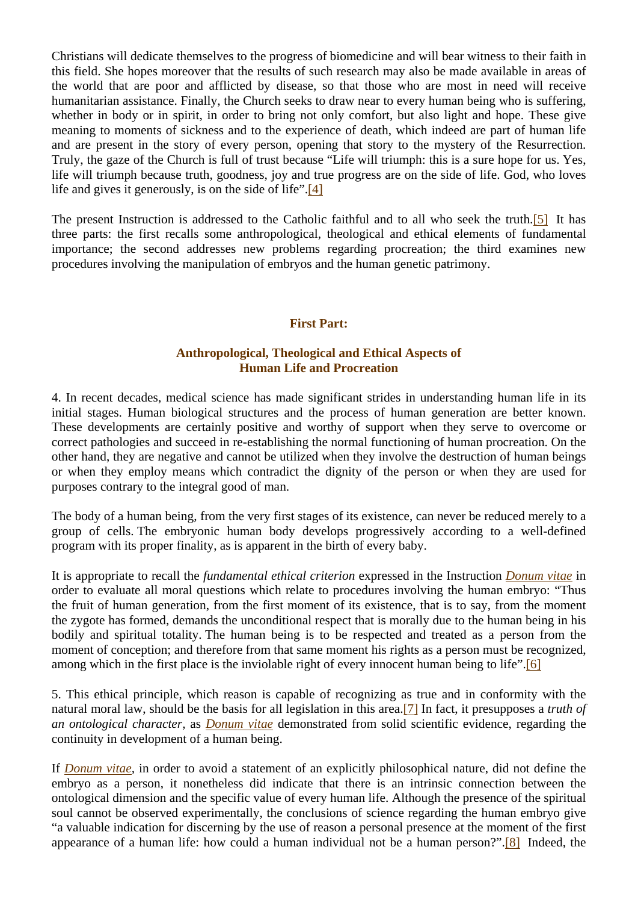Christians will dedicate themselves to the progress of biomedicine and will bear witness to their faith in this field. She hopes moreover that the results of such research may also be made available in areas of the world that are poor and afflicted by disease, so that those who are most in need will receive humanitarian assistance. Finally, the Church seeks to draw near to every human being who is suffering, whether in body or in spirit, in order to bring not only comfort, but also light and hope. These give meaning to moments of sickness and to the experience of death, which indeed are part of human life and are present in the story of every person, opening that story to the mystery of the Resurrection. Truly, the gaze of the Church is full of trust because "Life will triumph: this is a sure hope for us. Yes, life will triumph because truth, goodness, joy and true progress are on the side of life. God, who loves life and gives it generously, is on the side of life".[4]

The present Instruction is addressed to the Catholic faithful and to all who seek the truth.[5] It has three parts: the first recalls some anthropological, theological and ethical elements of fundamental importance; the second addresses new problems regarding procreation; the third examines new procedures involving the manipulation of embryos and the human genetic patrimony.

# **First Part:**

### **Anthropological, Theological and Ethical Aspects of Human Life and Procreation**

4. In recent decades, medical science has made significant strides in understanding human life in its initial stages. Human biological structures and the process of human generation are better known. These developments are certainly positive and worthy of support when they serve to overcome or correct pathologies and succeed in re-establishing the normal functioning of human procreation. On the other hand, they are negative and cannot be utilized when they involve the destruction of human beings or when they employ means which contradict the dignity of the person or when they are used for purposes contrary to the integral good of man.

The body of a human being, from the very first stages of its existence, can never be reduced merely to a group of cells. The embryonic human body develops progressively according to a well-defined program with its proper finality, as is apparent in the birth of every baby.

It is appropriate to recall the *fundamental ethical criterion* expressed in the Instruction *Donum vitae* in order to evaluate all moral questions which relate to procedures involving the human embryo: "Thus the fruit of human generation, from the first moment of its existence, that is to say, from the moment the zygote has formed, demands the unconditional respect that is morally due to the human being in his bodily and spiritual totality. The human being is to be respected and treated as a person from the moment of conception; and therefore from that same moment his rights as a person must be recognized, among which in the first place is the inviolable right of every innocent human being to life".[6]

5. This ethical principle, which reason is capable of recognizing as true and in conformity with the natural moral law, should be the basis for all legislation in this area.[7] In fact, it presupposes a *truth of an ontological character,* as *Donum vitae* demonstrated from solid scientific evidence, regarding the continuity in development of a human being.

If *Donum vitae,* in order to avoid a statement of an explicitly philosophical nature, did not define the embryo as a person, it nonetheless did indicate that there is an intrinsic connection between the ontological dimension and the specific value of every human life. Although the presence of the spiritual soul cannot be observed experimentally, the conclusions of science regarding the human embryo give "a valuable indication for discerning by the use of reason a personal presence at the moment of the first appearance of a human life: how could a human individual not be a human person?".[8] Indeed, the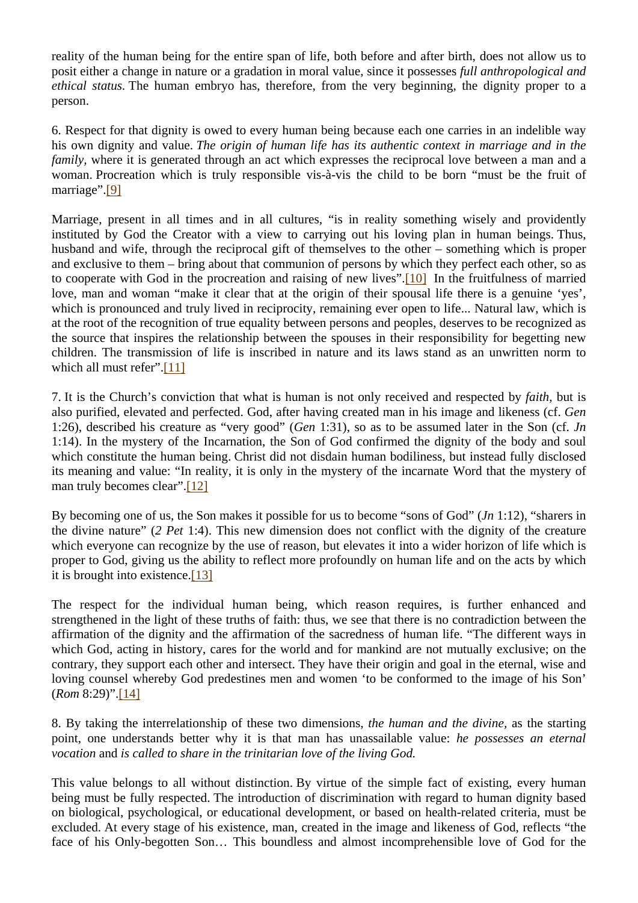reality of the human being for the entire span of life, both before and after birth, does not allow us to posit either a change in nature or a gradation in moral value, since it possesses *full anthropological and ethical status.* The human embryo has, therefore, from the very beginning, the dignity proper to a person.

6. Respect for that dignity is owed to every human being because each one carries in an indelible way his own dignity and value. *The origin of human life has its authentic context in marriage and in the family*, where it is generated through an act which expresses the reciprocal love between a man and a woman. Procreation which is truly responsible vis-à-vis the child to be born "must be the fruit of marriage".[9]

Marriage, present in all times and in all cultures, "is in reality something wisely and providently instituted by God the Creator with a view to carrying out his loving plan in human beings. Thus, husband and wife, through the reciprocal gift of themselves to the other – something which is proper and exclusive to them – bring about that communion of persons by which they perfect each other, so as to cooperate with God in the procreation and raising of new lives".[10] In the fruitfulness of married love, man and woman "make it clear that at the origin of their spousal life there is a genuine 'yes', which is pronounced and truly lived in reciprocity, remaining ever open to life... Natural law, which is at the root of the recognition of true equality between persons and peoples, deserves to be recognized as the source that inspires the relationship between the spouses in their responsibility for begetting new children. The transmission of life is inscribed in nature and its laws stand as an unwritten norm to which all must refer".<sup>[11]</sup>

7. It is the Church's conviction that what is human is not only received and respected by *faith,* but is also purified, elevated and perfected. God, after having created man in his image and likeness (cf. *Gen* 1:26), described his creature as "very good" (*Gen* 1:31), so as to be assumed later in the Son (cf. *Jn* 1:14). In the mystery of the Incarnation, the Son of God confirmed the dignity of the body and soul which constitute the human being. Christ did not disdain human bodiliness, but instead fully disclosed its meaning and value: "In reality, it is only in the mystery of the incarnate Word that the mystery of man truly becomes clear".[12]

By becoming one of us, the Son makes it possible for us to become "sons of God" (*Jn* 1:12), "sharers in the divine nature" (*2 Pet* 1:4). This new dimension does not conflict with the dignity of the creature which everyone can recognize by the use of reason, but elevates it into a wider horizon of life which is proper to God, giving us the ability to reflect more profoundly on human life and on the acts by which it is brought into existence. $[13]$ 

The respect for the individual human being, which reason requires, is further enhanced and strengthened in the light of these truths of faith: thus, we see that there is no contradiction between the affirmation of the dignity and the affirmation of the sacredness of human life. "The different ways in which God, acting in history, cares for the world and for mankind are not mutually exclusive; on the contrary, they support each other and intersect. They have their origin and goal in the eternal, wise and loving counsel whereby God predestines men and women 'to be conformed to the image of his Son' (*Rom* 8:29)".[14]

8. By taking the interrelationship of these two dimensions, *the human and the divine,* as the starting point, one understands better why it is that man has unassailable value: *he possesses an eternal vocation* and *is called to share in the trinitarian love of the living God.*

This value belongs to all without distinction. By virtue of the simple fact of existing, every human being must be fully respected. The introduction of discrimination with regard to human dignity based on biological, psychological, or educational development, or based on health-related criteria, must be excluded. At every stage of his existence, man, created in the image and likeness of God, reflects "the face of his Only-begotten Son… This boundless and almost incomprehensible love of God for the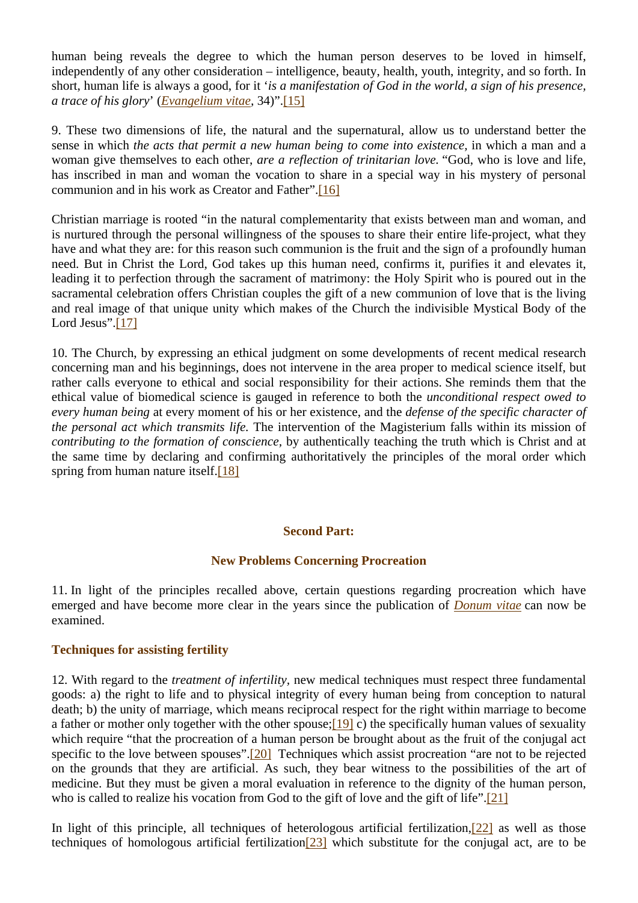human being reveals the degree to which the human person deserves to be loved in himself, independently of any other consideration – intelligence, beauty, health, youth, integrity, and so forth. In short, human life is always a good, for it '*is a manifestation of God in the world, a sign of his presence, a trace of his glory*' (*Evangelium vitae,* 34)".[15]

9. These two dimensions of life, the natural and the supernatural, allow us to understand better the sense in which *the acts that permit a new human being to come into existence*, in which a man and a woman give themselves to each other, *are a reflection of trinitarian love.* "God, who is love and life, has inscribed in man and woman the vocation to share in a special way in his mystery of personal communion and in his work as Creator and Father".[16]

Christian marriage is rooted "in the natural complementarity that exists between man and woman, and is nurtured through the personal willingness of the spouses to share their entire life-project, what they have and what they are: for this reason such communion is the fruit and the sign of a profoundly human need. But in Christ the Lord, God takes up this human need, confirms it, purifies it and elevates it, leading it to perfection through the sacrament of matrimony: the Holy Spirit who is poured out in the sacramental celebration offers Christian couples the gift of a new communion of love that is the living and real image of that unique unity which makes of the Church the indivisible Mystical Body of the Lord Jesus".[17]

10. The Church, by expressing an ethical judgment on some developments of recent medical research concerning man and his beginnings, does not intervene in the area proper to medical science itself, but rather calls everyone to ethical and social responsibility for their actions. She reminds them that the ethical value of biomedical science is gauged in reference to both the *unconditional respect owed to every human being* at every moment of his or her existence, and the *defense of the specific character of the personal act which transmits life.* The intervention of the Magisterium falls within its mission of *contributing to the formation of conscience,* by authentically teaching the truth which is Christ and at the same time by declaring and confirming authoritatively the principles of the moral order which spring from human nature itself.<sup>[18]</sup>

#### **Second Part:**

#### **New Problems Concerning Procreation**

11. In light of the principles recalled above, certain questions regarding procreation which have emerged and have become more clear in the years since the publication of *Donum vitae* can now be examined.

#### **Techniques for assisting fertility**

12. With regard to the *treatment of infertility,* new medical techniques must respect three fundamental goods: a) the right to life and to physical integrity of every human being from conception to natural death; b) the unity of marriage, which means reciprocal respect for the right within marriage to become a father or mother only together with the other spouse; [19] c) the specifically human values of sexuality which require "that the procreation of a human person be brought about as the fruit of the conjugal act specific to the love between spouses".[20] Techniques which assist procreation "are not to be rejected on the grounds that they are artificial. As such, they bear witness to the possibilities of the art of medicine. But they must be given a moral evaluation in reference to the dignity of the human person, who is called to realize his vocation from God to the gift of love and the gift of life".[21]

In light of this principle, all techniques of heterologous artificial fertilization,[22] as well as those techniques of homologous artificial fertilization[23] which substitute for the conjugal act, are to be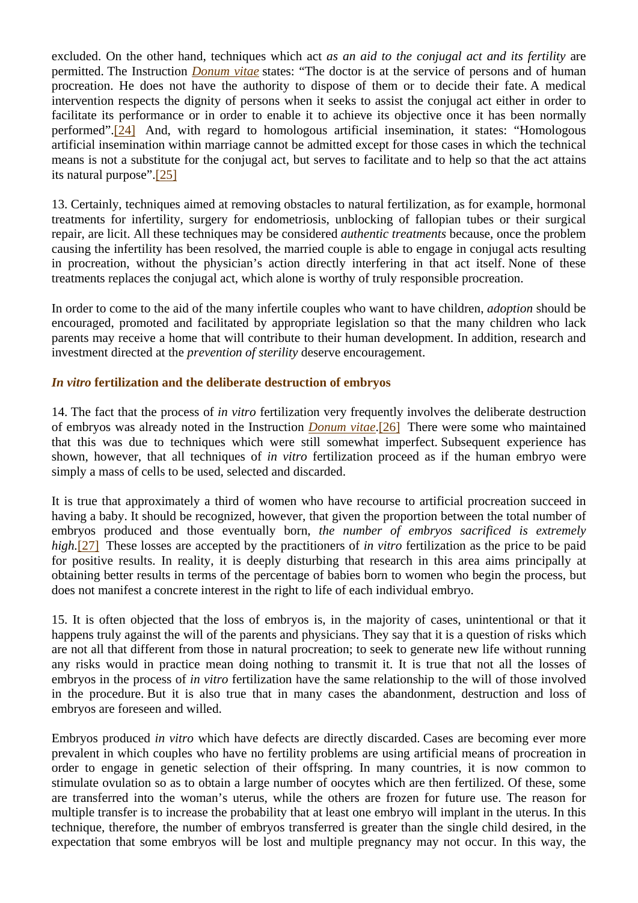excluded. On the other hand, techniques which act *as an aid to the conjugal act and its fertility* are permitted. The Instruction *Donum vitae* states: "The doctor is at the service of persons and of human procreation. He does not have the authority to dispose of them or to decide their fate. A medical intervention respects the dignity of persons when it seeks to assist the conjugal act either in order to facilitate its performance or in order to enable it to achieve its objective once it has been normally performed".[24] And, with regard to homologous artificial insemination, it states: "Homologous artificial insemination within marriage cannot be admitted except for those cases in which the technical means is not a substitute for the conjugal act, but serves to facilitate and to help so that the act attains its natural purpose".[25]

13. Certainly, techniques aimed at removing obstacles to natural fertilization, as for example, hormonal treatments for infertility, surgery for endometriosis, unblocking of fallopian tubes or their surgical repair, are licit. All these techniques may be considered *authentic treatments* because, once the problem causing the infertility has been resolved, the married couple is able to engage in conjugal acts resulting in procreation, without the physician's action directly interfering in that act itself. None of these treatments replaces the conjugal act, which alone is worthy of truly responsible procreation.

In order to come to the aid of the many infertile couples who want to have children, *adoption* should be encouraged, promoted and facilitated by appropriate legislation so that the many children who lack parents may receive a home that will contribute to their human development. In addition, research and investment directed at the *prevention of sterility* deserve encouragement.

# *In vitro* **fertilization and the deliberate destruction of embryos**

14. The fact that the process of *in vitro* fertilization very frequently involves the deliberate destruction of embryos was already noted in the Instruction *Donum vitae*.[26] There were some who maintained that this was due to techniques which were still somewhat imperfect. Subsequent experience has shown, however, that all techniques of *in vitro* fertilization proceed as if the human embryo were simply a mass of cells to be used, selected and discarded.

It is true that approximately a third of women who have recourse to artificial procreation succeed in having a baby. It should be recognized, however, that given the proportion between the total number of embryos produced and those eventually born, *the number of embryos sacrificed is extremely high.*[27] These losses are accepted by the practitioners of *in vitro* fertilization as the price to be paid for positive results. In reality, it is deeply disturbing that research in this area aims principally at obtaining better results in terms of the percentage of babies born to women who begin the process, but does not manifest a concrete interest in the right to life of each individual embryo.

15. It is often objected that the loss of embryos is, in the majority of cases, unintentional or that it happens truly against the will of the parents and physicians. They say that it is a question of risks which are not all that different from those in natural procreation; to seek to generate new life without running any risks would in practice mean doing nothing to transmit it. It is true that not all the losses of embryos in the process of *in vitro* fertilization have the same relationship to the will of those involved in the procedure. But it is also true that in many cases the abandonment, destruction and loss of embryos are foreseen and willed.

Embryos produced *in vitro* which have defects are directly discarded. Cases are becoming ever more prevalent in which couples who have no fertility problems are using artificial means of procreation in order to engage in genetic selection of their offspring. In many countries, it is now common to stimulate ovulation so as to obtain a large number of oocytes which are then fertilized. Of these, some are transferred into the woman's uterus, while the others are frozen for future use. The reason for multiple transfer is to increase the probability that at least one embryo will implant in the uterus. In this technique, therefore, the number of embryos transferred is greater than the single child desired, in the expectation that some embryos will be lost and multiple pregnancy may not occur. In this way, the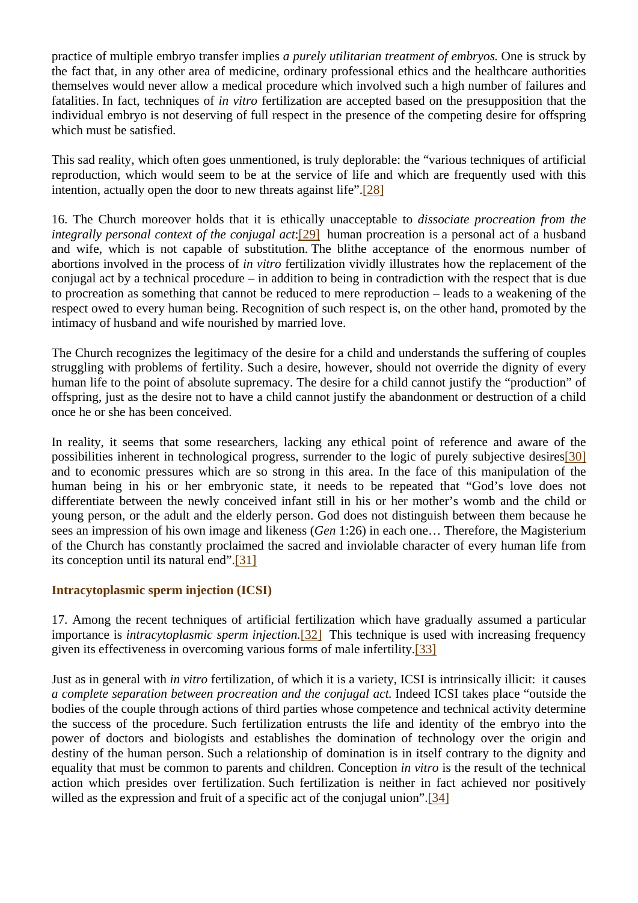practice of multiple embryo transfer implies *a purely utilitarian treatment of embryos.* One is struck by the fact that, in any other area of medicine, ordinary professional ethics and the healthcare authorities themselves would never allow a medical procedure which involved such a high number of failures and fatalities. In fact, techniques of *in vitro* fertilization are accepted based on the presupposition that the individual embryo is not deserving of full respect in the presence of the competing desire for offspring which must be satisfied.

This sad reality, which often goes unmentioned, is truly deplorable: the "various techniques of artificial reproduction, which would seem to be at the service of life and which are frequently used with this intention, actually open the door to new threats against life".[28]

16. The Church moreover holds that it is ethically unacceptable to *dissociate procreation from the integrally personal context of the conjugal act*:[29] human procreation is a personal act of a husband and wife, which is not capable of substitution. The blithe acceptance of the enormous number of abortions involved in the process of *in vitro* fertilization vividly illustrates how the replacement of the conjugal act by a technical procedure – in addition to being in contradiction with the respect that is due to procreation as something that cannot be reduced to mere reproduction – leads to a weakening of the respect owed to every human being. Recognition of such respect is, on the other hand, promoted by the intimacy of husband and wife nourished by married love.

The Church recognizes the legitimacy of the desire for a child and understands the suffering of couples struggling with problems of fertility. Such a desire, however, should not override the dignity of every human life to the point of absolute supremacy. The desire for a child cannot justify the "production" of offspring, just as the desire not to have a child cannot justify the abandonment or destruction of a child once he or she has been conceived.

In reality, it seems that some researchers, lacking any ethical point of reference and aware of the possibilities inherent in technological progress, surrender to the logic of purely subjective desires[30] and to economic pressures which are so strong in this area. In the face of this manipulation of the human being in his or her embryonic state, it needs to be repeated that "God's love does not differentiate between the newly conceived infant still in his or her mother's womb and the child or young person, or the adult and the elderly person. God does not distinguish between them because he sees an impression of his own image and likeness (*Gen* 1:26) in each one… Therefore, the Magisterium of the Church has constantly proclaimed the sacred and inviolable character of every human life from its conception until its natural end".[31]

# **Intracytoplasmic sperm injection (ICSI)**

17. Among the recent techniques of artificial fertilization which have gradually assumed a particular importance is *intracytoplasmic sperm injection.*[32]This technique is used with increasing frequency given its effectiveness in overcoming various forms of male infertility.[33]

Just as in general with *in vitro* fertilization, of which it is a variety, ICSI is intrinsically illicit: it causes *a complete separation between procreation and the conjugal act.* Indeed ICSI takes place "outside the bodies of the couple through actions of third parties whose competence and technical activity determine the success of the procedure. Such fertilization entrusts the life and identity of the embryo into the power of doctors and biologists and establishes the domination of technology over the origin and destiny of the human person. Such a relationship of domination is in itself contrary to the dignity and equality that must be common to parents and children. Conception *in vitro* is the result of the technical action which presides over fertilization. Such fertilization is neither in fact achieved nor positively willed as the expression and fruit of a specific act of the conjugal union".[34]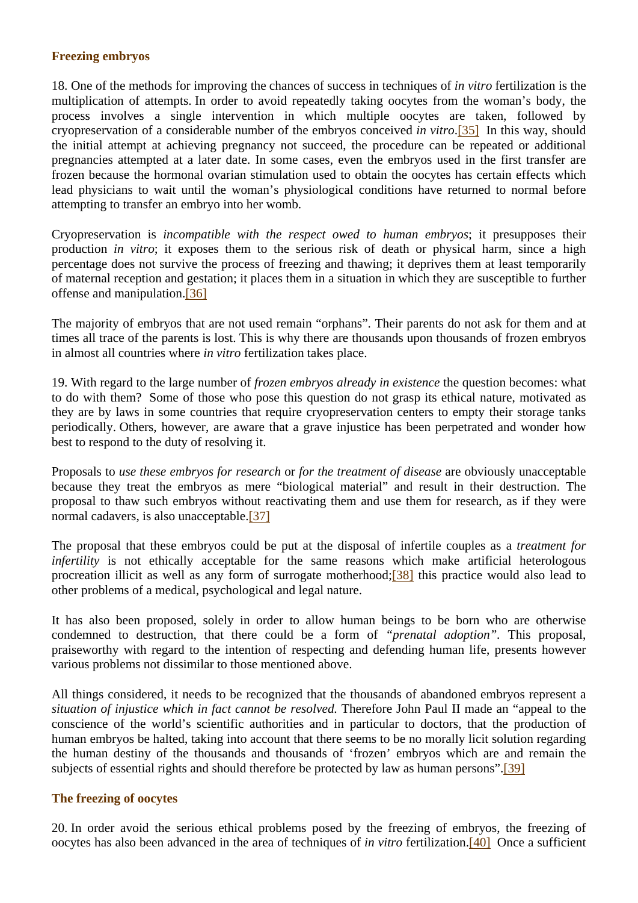#### **Freezing embryos**

18. One of the methods for improving the chances of success in techniques of *in vitro* fertilization is the multiplication of attempts. In order to avoid repeatedly taking oocytes from the woman's body, the process involves a single intervention in which multiple oocytes are taken, followed by cryopreservation of a considerable number of the embryos conceived *in vitro*.[35] In this way, should the initial attempt at achieving pregnancy not succeed, the procedure can be repeated or additional pregnancies attempted at a later date. In some cases, even the embryos used in the first transfer are frozen because the hormonal ovarian stimulation used to obtain the oocytes has certain effects which lead physicians to wait until the woman's physiological conditions have returned to normal before attempting to transfer an embryo into her womb.

Cryopreservation is *incompatible with the respect owed to human embryos*; it presupposes their production *in vitro*; it exposes them to the serious risk of death or physical harm, since a high percentage does not survive the process of freezing and thawing; it deprives them at least temporarily of maternal reception and gestation; it places them in a situation in which they are susceptible to further offense and manipulation.[36]

The majority of embryos that are not used remain "orphans". Their parents do not ask for them and at times all trace of the parents is lost. This is why there are thousands upon thousands of frozen embryos in almost all countries where *in vitro* fertilization takes place.

19. With regard to the large number of *frozen embryos already in existence* the question becomes: what to do with them? Some of those who pose this question do not grasp its ethical nature, motivated as they are by laws in some countries that require cryopreservation centers to empty their storage tanks periodically. Others, however, are aware that a grave injustice has been perpetrated and wonder how best to respond to the duty of resolving it.

Proposals to *use these embryos for research* or *for the treatment of disease* are obviously unacceptable because they treat the embryos as mere "biological material" and result in their destruction. The proposal to thaw such embryos without reactivating them and use them for research, as if they were normal cadavers, is also unacceptable.[37]

The proposal that these embryos could be put at the disposal of infertile couples as a *treatment for infertility* is not ethically acceptable for the same reasons which make artificial heterologous procreation illicit as well as any form of surrogate motherhood;[38] this practice would also lead to other problems of a medical, psychological and legal nature.

It has also been proposed, solely in order to allow human beings to be born who are otherwise condemned to destruction, that there could be a form of *"prenatal adoption".* This proposal, praiseworthy with regard to the intention of respecting and defending human life, presents however various problems not dissimilar to those mentioned above.

All things considered, it needs to be recognized that the thousands of abandoned embryos represent a *situation of injustice which in fact cannot be resolved.* Therefore John Paul II made an "appeal to the conscience of the world's scientific authorities and in particular to doctors, that the production of human embryos be halted, taking into account that there seems to be no morally licit solution regarding the human destiny of the thousands and thousands of 'frozen' embryos which are and remain the subjects of essential rights and should therefore be protected by law as human persons".[39]

#### **The freezing of oocytes**

20. In order avoid the serious ethical problems posed by the freezing of embryos, the freezing of oocytes has also been advanced in the area of techniques of *in vitro* fertilization.[40] Once a sufficient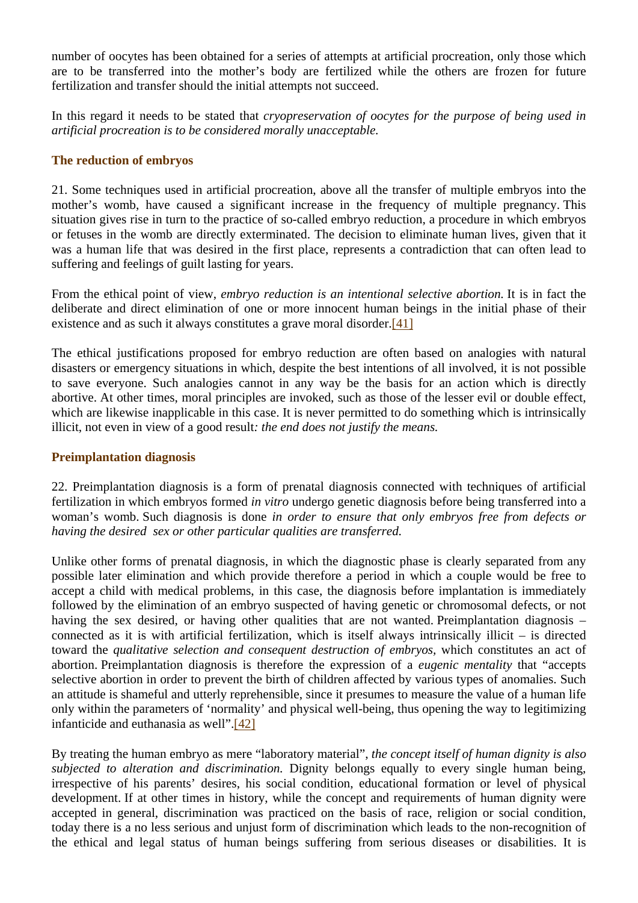number of oocytes has been obtained for a series of attempts at artificial procreation, only those which are to be transferred into the mother's body are fertilized while the others are frozen for future fertilization and transfer should the initial attempts not succeed.

In this regard it needs to be stated that *cryopreservation of oocytes for the purpose of being used in artificial procreation is to be considered morally unacceptable.*

### **The reduction of embryos**

21. Some techniques used in artificial procreation, above all the transfer of multiple embryos into the mother's womb, have caused a significant increase in the frequency of multiple pregnancy. This situation gives rise in turn to the practice of so-called embryo reduction, a procedure in which embryos or fetuses in the womb are directly exterminated. The decision to eliminate human lives, given that it was a human life that was desired in the first place, represents a contradiction that can often lead to suffering and feelings of guilt lasting for years.

From the ethical point of view, *embryo reduction is an intentional selective abortion.* It is in fact the deliberate and direct elimination of one or more innocent human beings in the initial phase of their existence and as such it always constitutes a grave moral disorder.[41]

The ethical justifications proposed for embryo reduction are often based on analogies with natural disasters or emergency situations in which, despite the best intentions of all involved, it is not possible to save everyone. Such analogies cannot in any way be the basis for an action which is directly abortive. At other times, moral principles are invoked, such as those of the lesser evil or double effect, which are likewise inapplicable in this case. It is never permitted to do something which is intrinsically illicit, not even in view of a good result*: the end does not justify the means.*

### **Preimplantation diagnosis**

22. Preimplantation diagnosis is a form of prenatal diagnosis connected with techniques of artificial fertilization in which embryos formed *in vitro* undergo genetic diagnosis before being transferred into a woman's womb. Such diagnosis is done *in order to ensure that only embryos free from defects or having the desired sex or other particular qualities are transferred.*

Unlike other forms of prenatal diagnosis, in which the diagnostic phase is clearly separated from any possible later elimination and which provide therefore a period in which a couple would be free to accept a child with medical problems, in this case, the diagnosis before implantation is immediately followed by the elimination of an embryo suspected of having genetic or chromosomal defects, or not having the sex desired, or having other qualities that are not wanted. Preimplantation diagnosis connected as it is with artificial fertilization, which is itself always intrinsically illicit – is directed toward the *qualitative selection and consequent destruction of embryos,* which constitutes an act of abortion. Preimplantation diagnosis is therefore the expression of a *eugenic mentality* that "accepts selective abortion in order to prevent the birth of children affected by various types of anomalies. Such an attitude is shameful and utterly reprehensible, since it presumes to measure the value of a human life only within the parameters of 'normality' and physical well-being, thus opening the way to legitimizing infanticide and euthanasia as well".[42]

By treating the human embryo as mere "laboratory material", *the concept itself of human dignity is also subjected to alteration and discrimination.* Dignity belongs equally to every single human being, irrespective of his parents' desires, his social condition, educational formation or level of physical development. If at other times in history, while the concept and requirements of human dignity were accepted in general, discrimination was practiced on the basis of race, religion or social condition, today there is a no less serious and unjust form of discrimination which leads to the non-recognition of the ethical and legal status of human beings suffering from serious diseases or disabilities. It is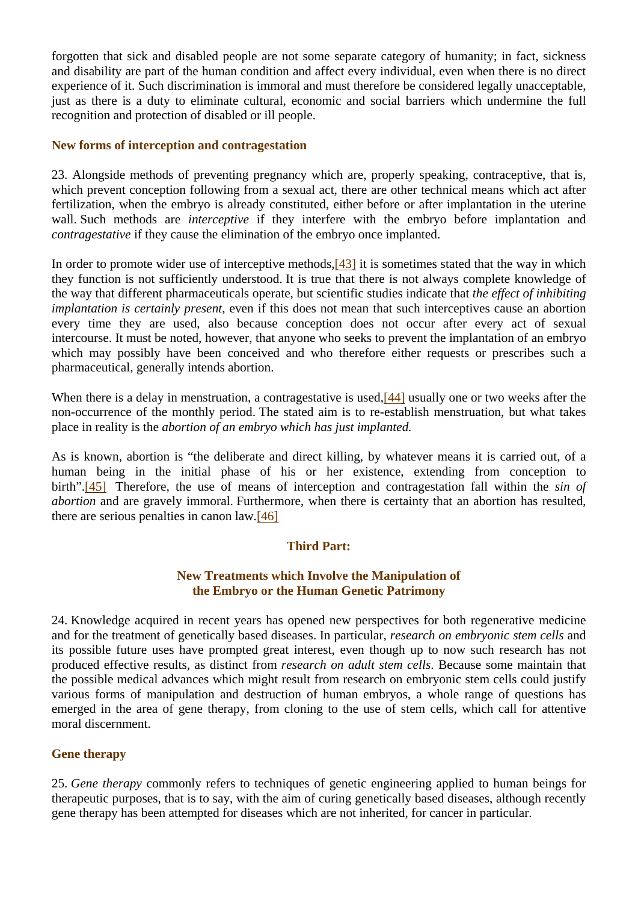forgotten that sick and disabled people are not some separate category of humanity; in fact, sickness and disability are part of the human condition and affect every individual, even when there is no direct experience of it. Such discrimination is immoral and must therefore be considered legally unacceptable, just as there is a duty to eliminate cultural, economic and social barriers which undermine the full recognition and protection of disabled or ill people.

### **New forms of interception and contragestation**

23. Alongside methods of preventing pregnancy which are, properly speaking, contraceptive, that is, which prevent conception following from a sexual act, there are other technical means which act after fertilization, when the embryo is already constituted, either before or after implantation in the uterine wall. Such methods are *interceptive* if they interfere with the embryo before implantation and *contragestative* if they cause the elimination of the embryo once implanted.

In order to promote wider use of interceptive methods, [43] it is sometimes stated that the way in which they function is not sufficiently understood. It is true that there is not always complete knowledge of the way that different pharmaceuticals operate, but scientific studies indicate that *the effect of inhibiting implantation is certainly present,* even if this does not mean that such interceptives cause an abortion every time they are used, also because conception does not occur after every act of sexual intercourse. It must be noted, however, that anyone who seeks to prevent the implantation of an embryo which may possibly have been conceived and who therefore either requests or prescribes such a pharmaceutical, generally intends abortion.

When there is a delay in menstruation, a contragestative is used, [44] usually one or two weeks after the non-occurrence of the monthly period. The stated aim is to re-establish menstruation, but what takes place in reality is the *abortion of an embryo which has just implanted.*

As is known, abortion is "the deliberate and direct killing, by whatever means it is carried out, of a human being in the initial phase of his or her existence, extending from conception to birth".[45] Therefore, the use of means of interception and contragestation fall within the *sin of abortion* and are gravely immoral. Furthermore, when there is certainty that an abortion has resulted, there are serious penalties in canon law.[46]

# **Third Part:**

### **New Treatments which Involve the Manipulation of the Embryo or the Human Genetic Patrimony**

24. Knowledge acquired in recent years has opened new perspectives for both regenerative medicine and for the treatment of genetically based diseases. In particular, *research on embryonic stem cells* and its possible future uses have prompted great interest, even though up to now such research has not produced effective results, as distinct from *research on adult stem cells*. Because some maintain that the possible medical advances which might result from research on embryonic stem cells could justify various forms of manipulation and destruction of human embryos, a whole range of questions has emerged in the area of gene therapy, from cloning to the use of stem cells, which call for attentive moral discernment.

# **Gene therapy**

25. *Gene therapy* commonly refers to techniques of genetic engineering applied to human beings for therapeutic purposes, that is to say, with the aim of curing genetically based diseases, although recently gene therapy has been attempted for diseases which are not inherited, for cancer in particular.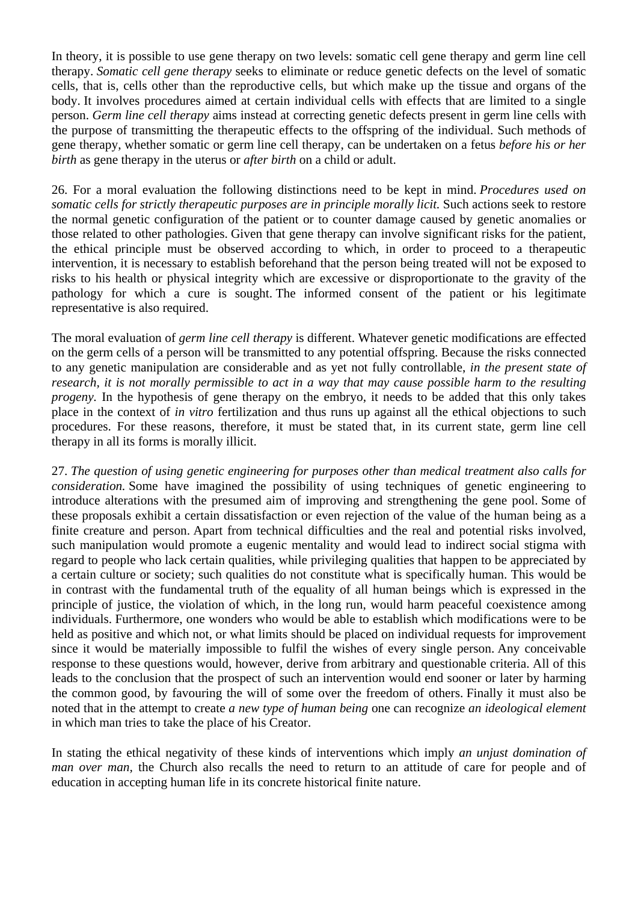In theory, it is possible to use gene therapy on two levels: somatic cell gene therapy and germ line cell therapy. *Somatic cell gene therapy* seeks to eliminate or reduce genetic defects on the level of somatic cells, that is, cells other than the reproductive cells, but which make up the tissue and organs of the body. It involves procedures aimed at certain individual cells with effects that are limited to a single person. *Germ line cell therapy* aims instead at correcting genetic defects present in germ line cells with the purpose of transmitting the therapeutic effects to the offspring of the individual. Such methods of gene therapy, whether somatic or germ line cell therapy, can be undertaken on a fetus *before his or her birth* as gene therapy in the uterus or *after birth* on a child or adult.

26. For a moral evaluation the following distinctions need to be kept in mind. *Procedures used on somatic cells for strictly therapeutic purposes are in principle morally licit.* Such actions seek to restore the normal genetic configuration of the patient or to counter damage caused by genetic anomalies or those related to other pathologies. Given that gene therapy can involve significant risks for the patient, the ethical principle must be observed according to which, in order to proceed to a therapeutic intervention, it is necessary to establish beforehand that the person being treated will not be exposed to risks to his health or physical integrity which are excessive or disproportionate to the gravity of the pathology for which a cure is sought. The informed consent of the patient or his legitimate representative is also required.

The moral evaluation of *germ line cell therapy* is different. Whatever genetic modifications are effected on the germ cells of a person will be transmitted to any potential offspring. Because the risks connected to any genetic manipulation are considerable and as yet not fully controllable, *in the present state of research, it is not morally permissible to act in a way that may cause possible harm to the resulting progeny*. In the hypothesis of gene therapy on the embryo, it needs to be added that this only takes place in the context of *in vitro* fertilization and thus runs up against all the ethical objections to such procedures. For these reasons, therefore, it must be stated that, in its current state, germ line cell therapy in all its forms is morally illicit.

27. *The question of using genetic engineering for purposes other than medical treatment also calls for consideration.* Some have imagined the possibility of using techniques of genetic engineering to introduce alterations with the presumed aim of improving and strengthening the gene pool. Some of these proposals exhibit a certain dissatisfaction or even rejection of the value of the human being as a finite creature and person. Apart from technical difficulties and the real and potential risks involved, such manipulation would promote a eugenic mentality and would lead to indirect social stigma with regard to people who lack certain qualities, while privileging qualities that happen to be appreciated by a certain culture or society; such qualities do not constitute what is specifically human. This would be in contrast with the fundamental truth of the equality of all human beings which is expressed in the principle of justice, the violation of which, in the long run, would harm peaceful coexistence among individuals. Furthermore, one wonders who would be able to establish which modifications were to be held as positive and which not, or what limits should be placed on individual requests for improvement since it would be materially impossible to fulfil the wishes of every single person. Any conceivable response to these questions would, however, derive from arbitrary and questionable criteria. All of this leads to the conclusion that the prospect of such an intervention would end sooner or later by harming the common good, by favouring the will of some over the freedom of others. Finally it must also be noted that in the attempt to create *a new type of human being* one can recognize *an ideological element* in which man tries to take the place of his Creator.

In stating the ethical negativity of these kinds of interventions which imply *an unjust domination of man over man,* the Church also recalls the need to return to an attitude of care for people and of education in accepting human life in its concrete historical finite nature.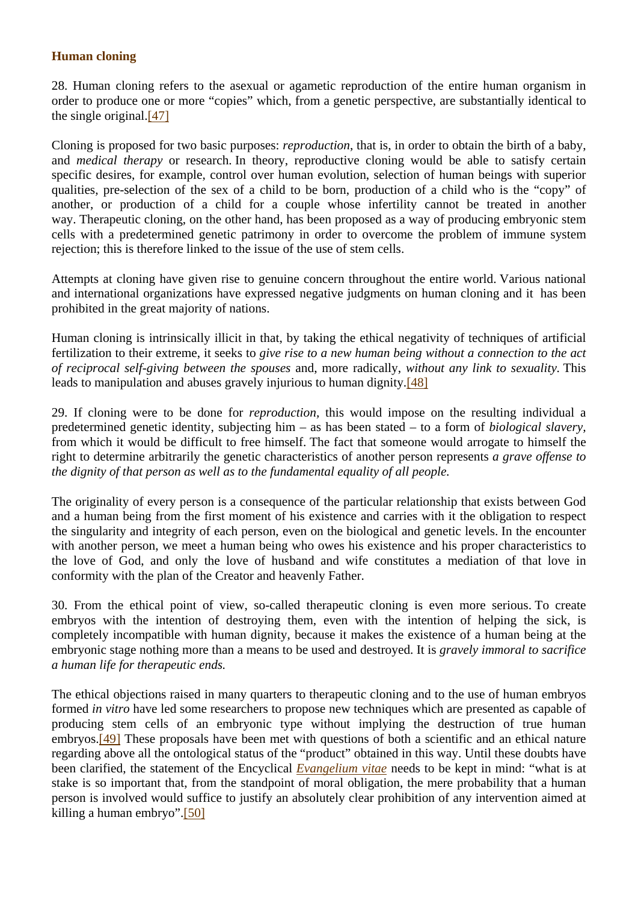#### **Human cloning**

28. Human cloning refers to the asexual or agametic reproduction of the entire human organism in order to produce one or more "copies" which, from a genetic perspective, are substantially identical to the single original.[47]

Cloning is proposed for two basic purposes: *reproduction*, that is, in order to obtain the birth of a baby, and *medical therapy* or research. In theory, reproductive cloning would be able to satisfy certain specific desires, for example, control over human evolution, selection of human beings with superior qualities, pre-selection of the sex of a child to be born, production of a child who is the "copy" of another, or production of a child for a couple whose infertility cannot be treated in another way. Therapeutic cloning, on the other hand, has been proposed as a way of producing embryonic stem cells with a predetermined genetic patrimony in order to overcome the problem of immune system rejection; this is therefore linked to the issue of the use of stem cells.

Attempts at cloning have given rise to genuine concern throughout the entire world. Various national and international organizations have expressed negative judgments on human cloning and it has been prohibited in the great majority of nations.

Human cloning is intrinsically illicit in that, by taking the ethical negativity of techniques of artificial fertilization to their extreme, it seeks to *give rise to a new human being without a connection to the act of reciprocal self-giving between the spouses* and, more radically, *without any link to sexuality.* This leads to manipulation and abuses gravely injurious to human dignity.[48]

29. If cloning were to be done for *reproduction,* this would impose on the resulting individual a predetermined genetic identity, subjecting him – as has been stated – to a form of *biological slavery,* from which it would be difficult to free himself. The fact that someone would arrogate to himself the right to determine arbitrarily the genetic characteristics of another person represents *a grave offense to the dignity of that person as well as to the fundamental equality of all people.*

The originality of every person is a consequence of the particular relationship that exists between God and a human being from the first moment of his existence and carries with it the obligation to respect the singularity and integrity of each person, even on the biological and genetic levels. In the encounter with another person, we meet a human being who owes his existence and his proper characteristics to the love of God, and only the love of husband and wife constitutes a mediation of that love in conformity with the plan of the Creator and heavenly Father.

30. From the ethical point of view, so-called therapeutic cloning is even more serious. To create embryos with the intention of destroying them, even with the intention of helping the sick, is completely incompatible with human dignity, because it makes the existence of a human being at the embryonic stage nothing more than a means to be used and destroyed. It is *gravely immoral to sacrifice a human life for therapeutic ends.*

The ethical objections raised in many quarters to therapeutic cloning and to the use of human embryos formed *in vitro* have led some researchers to propose new techniques which are presented as capable of producing stem cells of an embryonic type without implying the destruction of true human embryos.<sup>[49]</sup> These proposals have been met with questions of both a scientific and an ethical nature regarding above all the ontological status of the "product" obtained in this way. Until these doubts have been clarified, the statement of the Encyclical *Evangelium vitae* needs to be kept in mind: "what is at stake is so important that, from the standpoint of moral obligation, the mere probability that a human person is involved would suffice to justify an absolutely clear prohibition of any intervention aimed at killing a human embryo".[50]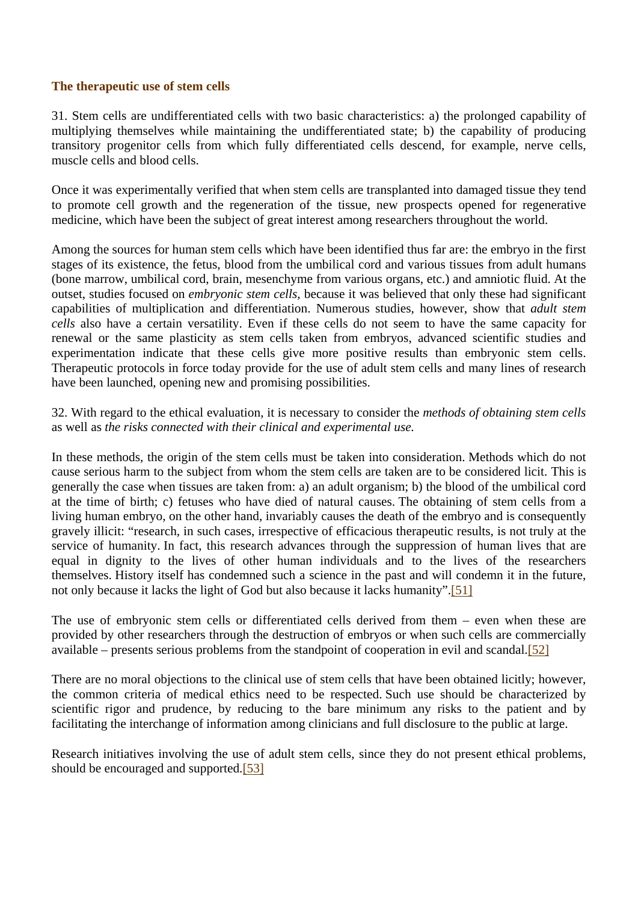#### **The therapeutic use of stem cells**

31. Stem cells are undifferentiated cells with two basic characteristics: a) the prolonged capability of multiplying themselves while maintaining the undifferentiated state; b) the capability of producing transitory progenitor cells from which fully differentiated cells descend, for example, nerve cells, muscle cells and blood cells.

Once it was experimentally verified that when stem cells are transplanted into damaged tissue they tend to promote cell growth and the regeneration of the tissue, new prospects opened for regenerative medicine, which have been the subject of great interest among researchers throughout the world.

Among the sources for human stem cells which have been identified thus far are: the embryo in the first stages of its existence, the fetus, blood from the umbilical cord and various tissues from adult humans (bone marrow, umbilical cord, brain, mesenchyme from various organs, etc.) and amniotic fluid. At the outset, studies focused on *embryonic stem cells,* because it was believed that only these had significant capabilities of multiplication and differentiation. Numerous studies, however, show that *adult stem cells* also have a certain versatility. Even if these cells do not seem to have the same capacity for renewal or the same plasticity as stem cells taken from embryos, advanced scientific studies and experimentation indicate that these cells give more positive results than embryonic stem cells. Therapeutic protocols in force today provide for the use of adult stem cells and many lines of research have been launched, opening new and promising possibilities.

32. With regard to the ethical evaluation, it is necessary to consider the *methods of obtaining stem cells* as well as *the risks connected with their clinical and experimental use.*

In these methods, the origin of the stem cells must be taken into consideration. Methods which do not cause serious harm to the subject from whom the stem cells are taken are to be considered licit. This is generally the case when tissues are taken from: a) an adult organism; b) the blood of the umbilical cord at the time of birth; c) fetuses who have died of natural causes. The obtaining of stem cells from a living human embryo, on the other hand, invariably causes the death of the embryo and is consequently gravely illicit: "research, in such cases, irrespective of efficacious therapeutic results, is not truly at the service of humanity. In fact, this research advances through the suppression of human lives that are equal in dignity to the lives of other human individuals and to the lives of the researchers themselves. History itself has condemned such a science in the past and will condemn it in the future, not only because it lacks the light of God but also because it lacks humanity".[51]

The use of embryonic stem cells or differentiated cells derived from them – even when these are provided by other researchers through the destruction of embryos or when such cells are commercially available – presents serious problems from the standpoint of cooperation in evil and scandal.[52]

There are no moral objections to the clinical use of stem cells that have been obtained licitly; however, the common criteria of medical ethics need to be respected. Such use should be characterized by scientific rigor and prudence, by reducing to the bare minimum any risks to the patient and by facilitating the interchange of information among clinicians and full disclosure to the public at large.

Research initiatives involving the use of adult stem cells, since they do not present ethical problems, should be encouraged and supported.[53]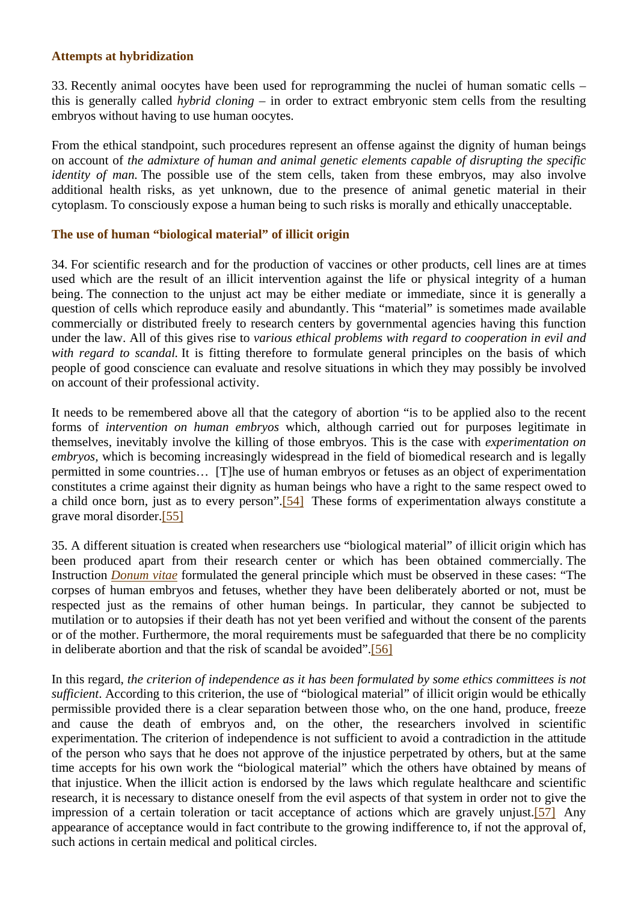#### **Attempts at hybridization**

33. Recently animal oocytes have been used for reprogramming the nuclei of human somatic cells – this is generally called *hybrid cloning* – in order to extract embryonic stem cells from the resulting embryos without having to use human oocytes.

From the ethical standpoint, such procedures represent an offense against the dignity of human beings on account of *the admixture of human and animal genetic elements capable of disrupting the specific identity of man.* The possible use of the stem cells, taken from these embryos, may also involve additional health risks, as yet unknown, due to the presence of animal genetic material in their cytoplasm. To consciously expose a human being to such risks is morally and ethically unacceptable.

#### **The use of human "biological material" of illicit origin**

34. For scientific research and for the production of vaccines or other products, cell lines are at times used which are the result of an illicit intervention against the life or physical integrity of a human being. The connection to the unjust act may be either mediate or immediate, since it is generally a question of cells which reproduce easily and abundantly. This "material" is sometimes made available commercially or distributed freely to research centers by governmental agencies having this function under the law. All of this gives rise to *various ethical problems with regard to cooperation in evil and*  with regard to scandal. It is fitting therefore to formulate general principles on the basis of which people of good conscience can evaluate and resolve situations in which they may possibly be involved on account of their professional activity.

It needs to be remembered above all that the category of abortion "is to be applied also to the recent forms of *intervention on human embryos* which, although carried out for purposes legitimate in themselves, inevitably involve the killing of those embryos. This is the case with *experimentation on embryos,* which is becoming increasingly widespread in the field of biomedical research and is legally permitted in some countries… [T]he use of human embryos or fetuses as an object of experimentation constitutes a crime against their dignity as human beings who have a right to the same respect owed to a child once born, just as to every person".[54] These forms of experimentation always constitute a grave moral disorder.[55]

35. A different situation is created when researchers use "biological material" of illicit origin which has been produced apart from their research center or which has been obtained commercially. The Instruction *Donum vitae* formulated the general principle which must be observed in these cases: "The corpses of human embryos and fetuses, whether they have been deliberately aborted or not, must be respected just as the remains of other human beings. In particular, they cannot be subjected to mutilation or to autopsies if their death has not yet been verified and without the consent of the parents or of the mother. Furthermore, the moral requirements must be safeguarded that there be no complicity in deliberate abortion and that the risk of scandal be avoided".[56]

In this regard, *the criterion of independence as it has been formulated by some ethics committees is not sufficient*. According to this criterion, the use of "biological material" of illicit origin would be ethically permissible provided there is a clear separation between those who, on the one hand, produce, freeze and cause the death of embryos and, on the other, the researchers involved in scientific experimentation. The criterion of independence is not sufficient to avoid a contradiction in the attitude of the person who says that he does not approve of the injustice perpetrated by others, but at the same time accepts for his own work the "biological material" which the others have obtained by means of that injustice. When the illicit action is endorsed by the laws which regulate healthcare and scientific research, it is necessary to distance oneself from the evil aspects of that system in order not to give the impression of a certain toleration or tacit acceptance of actions which are gravely unjust.[57] Any appearance of acceptance would in fact contribute to the growing indifference to, if not the approval of, such actions in certain medical and political circles.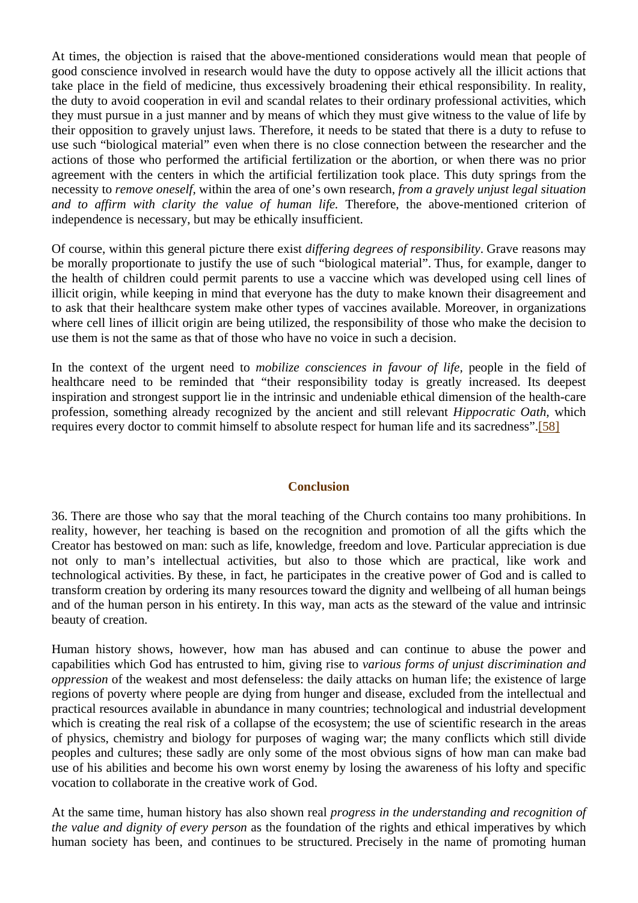At times, the objection is raised that the above-mentioned considerations would mean that people of good conscience involved in research would have the duty to oppose actively all the illicit actions that take place in the field of medicine, thus excessively broadening their ethical responsibility. In reality, the duty to avoid cooperation in evil and scandal relates to their ordinary professional activities, which they must pursue in a just manner and by means of which they must give witness to the value of life by their opposition to gravely unjust laws. Therefore, it needs to be stated that there is a duty to refuse to use such "biological material" even when there is no close connection between the researcher and the actions of those who performed the artificial fertilization or the abortion, or when there was no prior agreement with the centers in which the artificial fertilization took place. This duty springs from the necessity to *remove oneself,* within the area of one's own research, *from a gravely unjust legal situation and to affirm with clarity the value of human life.* Therefore, the above-mentioned criterion of independence is necessary, but may be ethically insufficient.

Of course, within this general picture there exist *differing degrees of responsibility*. Grave reasons may be morally proportionate to justify the use of such "biological material". Thus, for example, danger to the health of children could permit parents to use a vaccine which was developed using cell lines of illicit origin, while keeping in mind that everyone has the duty to make known their disagreement and to ask that their healthcare system make other types of vaccines available. Moreover, in organizations where cell lines of illicit origin are being utilized, the responsibility of those who make the decision to use them is not the same as that of those who have no voice in such a decision.

In the context of the urgent need to *mobilize consciences in favour of life,* people in the field of healthcare need to be reminded that "their responsibility today is greatly increased. Its deepest inspiration and strongest support lie in the intrinsic and undeniable ethical dimension of the health-care profession, something already recognized by the ancient and still relevant *Hippocratic Oath,* which requires every doctor to commit himself to absolute respect for human life and its sacredness".[58]

#### **Conclusion**

36. There are those who say that the moral teaching of the Church contains too many prohibitions. In reality, however, her teaching is based on the recognition and promotion of all the gifts which the Creator has bestowed on man: such as life, knowledge, freedom and love. Particular appreciation is due not only to man's intellectual activities, but also to those which are practical, like work and technological activities. By these, in fact, he participates in the creative power of God and is called to transform creation by ordering its many resources toward the dignity and wellbeing of all human beings and of the human person in his entirety. In this way, man acts as the steward of the value and intrinsic beauty of creation.

Human history shows, however, how man has abused and can continue to abuse the power and capabilities which God has entrusted to him, giving rise to *various forms of unjust discrimination and oppression* of the weakest and most defenseless: the daily attacks on human life; the existence of large regions of poverty where people are dying from hunger and disease, excluded from the intellectual and practical resources available in abundance in many countries; technological and industrial development which is creating the real risk of a collapse of the ecosystem; the use of scientific research in the areas of physics, chemistry and biology for purposes of waging war; the many conflicts which still divide peoples and cultures; these sadly are only some of the most obvious signs of how man can make bad use of his abilities and become his own worst enemy by losing the awareness of his lofty and specific vocation to collaborate in the creative work of God.

At the same time, human history has also shown real *progress in the understanding and recognition of the value and dignity of every person* as the foundation of the rights and ethical imperatives by which human society has been, and continues to be structured. Precisely in the name of promoting human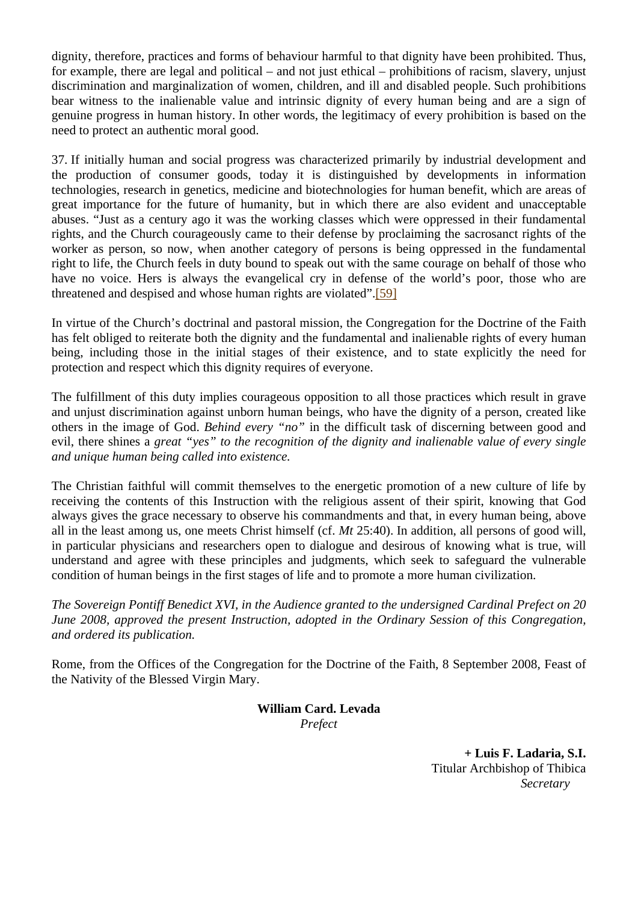dignity, therefore, practices and forms of behaviour harmful to that dignity have been prohibited. Thus, for example, there are legal and political – and not just ethical – prohibitions of racism, slavery, unjust discrimination and marginalization of women, children, and ill and disabled people. Such prohibitions bear witness to the inalienable value and intrinsic dignity of every human being and are a sign of genuine progress in human history. In other words, the legitimacy of every prohibition is based on the need to protect an authentic moral good.

37. If initially human and social progress was characterized primarily by industrial development and the production of consumer goods, today it is distinguished by developments in information technologies, research in genetics, medicine and biotechnologies for human benefit, which are areas of great importance for the future of humanity, but in which there are also evident and unacceptable abuses. "Just as a century ago it was the working classes which were oppressed in their fundamental rights, and the Church courageously came to their defense by proclaiming the sacrosanct rights of the worker as person, so now, when another category of persons is being oppressed in the fundamental right to life, the Church feels in duty bound to speak out with the same courage on behalf of those who have no voice. Hers is always the evangelical cry in defense of the world's poor, those who are threatened and despised and whose human rights are violated".[59]

In virtue of the Church's doctrinal and pastoral mission, the Congregation for the Doctrine of the Faith has felt obliged to reiterate both the dignity and the fundamental and inalienable rights of every human being, including those in the initial stages of their existence, and to state explicitly the need for protection and respect which this dignity requires of everyone.

The fulfillment of this duty implies courageous opposition to all those practices which result in grave and unjust discrimination against unborn human beings, who have the dignity of a person, created like others in the image of God. *Behind every "no"* in the difficult task of discerning between good and evil, there shines a *great "yes" to the recognition of the dignity and inalienable value of every single and unique human being called into existence.*

The Christian faithful will commit themselves to the energetic promotion of a new culture of life by receiving the contents of this Instruction with the religious assent of their spirit, knowing that God always gives the grace necessary to observe his commandments and that, in every human being, above all in the least among us, one meets Christ himself (cf. *Mt* 25:40). In addition, all persons of good will, in particular physicians and researchers open to dialogue and desirous of knowing what is true, will understand and agree with these principles and judgments, which seek to safeguard the vulnerable condition of human beings in the first stages of life and to promote a more human civilization.

*The Sovereign Pontiff Benedict XVI, in the Audience granted to the undersigned Cardinal Prefect on 20 June 2008, approved the present Instruction, adopted in the Ordinary Session of this Congregation, and ordered its publication.*

Rome, from the Offices of the Congregation for the Doctrine of the Faith, 8 September 2008, Feast of the Nativity of the Blessed Virgin Mary.

> **William Card. Levada** *Prefect*

> > **+ Luis F. Ladaria, S.I.** Titular Archbishop of Thibica *Secretary*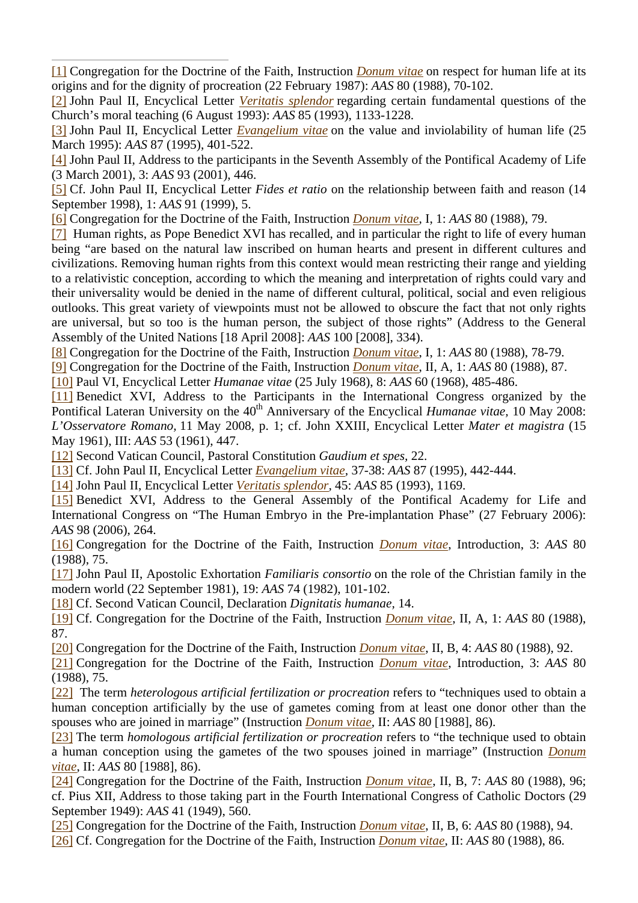[1] Congregation for the Doctrine of the Faith, Instruction *Donum vitae* on respect for human life at its origins and for the dignity of procreation (22 February 1987): *AAS* 80 (1988), 70-102.

[2] John Paul II, Encyclical Letter *Veritatis splendor* regarding certain fundamental questions of the Church's moral teaching (6 August 1993): *AAS* 85 (1993), 1133-1228.

[3] John Paul II, Encyclical Letter *Evangelium vitae* on the value and inviolability of human life (25 March 1995): *AAS* 87 (1995), 401-522.

[4] John Paul II, Address to the participants in the Seventh Assembly of the Pontifical Academy of Life (3 March 2001), 3: *AAS* 93 (2001), 446.

[5] Cf. John Paul II, Encyclical Letter *Fides et ratio* on the relationship between faith and reason (14 September 1998), 1: *AAS* 91 (1999), 5.

[6] Congregation for the Doctrine of the Faith, Instruction *Donum vitae,* I, 1: *AAS* 80 (1988), 79.

[7] Human rights, as Pope Benedict XVI has recalled, and in particular the right to life of every human being "are based on the natural law inscribed on human hearts and present in different cultures and civilizations. Removing human rights from this context would mean restricting their range and yielding to a relativistic conception, according to which the meaning and interpretation of rights could vary and their universality would be denied in the name of different cultural, political, social and even religious outlooks. This great variety of viewpoints must not be allowed to obscure the fact that not only rights are universal, but so too is the human person, the subject of those rights" (Address to the General Assembly of the United Nations [18 April 2008]: *AAS* 100 [2008], 334).

[8] Congregation for the Doctrine of the Faith, Instruction *Donum vitae*, I, 1: *AAS* 80 (1988), 78-79.

[9] Congregation for the Doctrine of the Faith, Instruction *Donum vitae*, II, A, 1: *AAS* 80 (1988), 87.

[10] Paul VI, Encyclical Letter *Humanae vitae* (25 July 1968), 8: *AAS* 60 (1968), 485-486.

[11] Benedict XVI, Address to the Participants in the International Congress organized by the Pontifical Lateran University on the 40<sup>th</sup> Anniversary of the Encyclical *Humanae vitae*, 10 May 2008: *L'Osservatore Romano,* 11 May 2008, p. 1; cf. John XXIII, Encyclical Letter *Mater et magistra* (15 May 1961), III: *AAS* 53 (1961), 447.

[12] Second Vatican Council, Pastoral Constitution *Gaudium et spes,* 22.

[13] Cf. John Paul II, Encyclical Letter *Evangelium vitae,* 37-38: *AAS* 87 (1995), 442-444.

[14] John Paul II, Encyclical Letter *Veritatis splendor,* 45: *AAS* 85 (1993), 1169.

[15] Benedict XVI, Address to the General Assembly of the Pontifical Academy for Life and International Congress on "The Human Embryo in the Pre-implantation Phase" (27 February 2006): *AAS* 98 (2006), 264.

[16] Congregation for the Doctrine of the Faith, Instruction *Donum vitae*, Introduction, 3: *AAS* 80 (1988), 75.

[17] John Paul II, Apostolic Exhortation *Familiaris consortio* on the role of the Christian family in the modern world (22 September 1981), 19: *AAS* 74 (1982), 101-102.

[18] Cf. Second Vatican Council, Declaration *Dignitatis humanae,* 14.

[19] Cf. Congregation for the Doctrine of the Faith, Instruction *Donum vitae*, II, A, 1: *AAS* 80 (1988), 87.

[20] Congregation for the Doctrine of the Faith, Instruction *Donum vitae*, II, B, 4: *AAS* 80 (1988), 92.

[21] Congregation for the Doctrine of the Faith, Instruction *Donum vitae*, Introduction, 3: *AAS* 80 (1988), 75.

[22] The term *heterologous artificial fertilization or procreation* refers to "techniques used to obtain a human conception artificially by the use of gametes coming from at least one donor other than the spouses who are joined in marriage" (Instruction *Donum vitae*, II: *AAS* 80 [1988], 86).

[23] The term *homologous artificial fertilization or procreation* refers to "the technique used to obtain a human conception using the gametes of the two spouses joined in marriage" (Instruction *Donum vitae*, II: *AAS* 80 [1988], 86).

[24] Congregation for the Doctrine of the Faith, Instruction *Donum vitae*, II, B, 7: *AAS* 80 (1988), 96; cf. Pius XII, Address to those taking part in the Fourth International Congress of Catholic Doctors (29 September 1949): *AAS* 41 (1949), 560.

[25] Congregation for the Doctrine of the Faith, Instruction *Donum vitae*, II, B, 6: *AAS* 80 (1988), 94. [26] Cf. Congregation for the Doctrine of the Faith, Instruction *Donum vitae*, II: *AAS* 80 (1988), 86.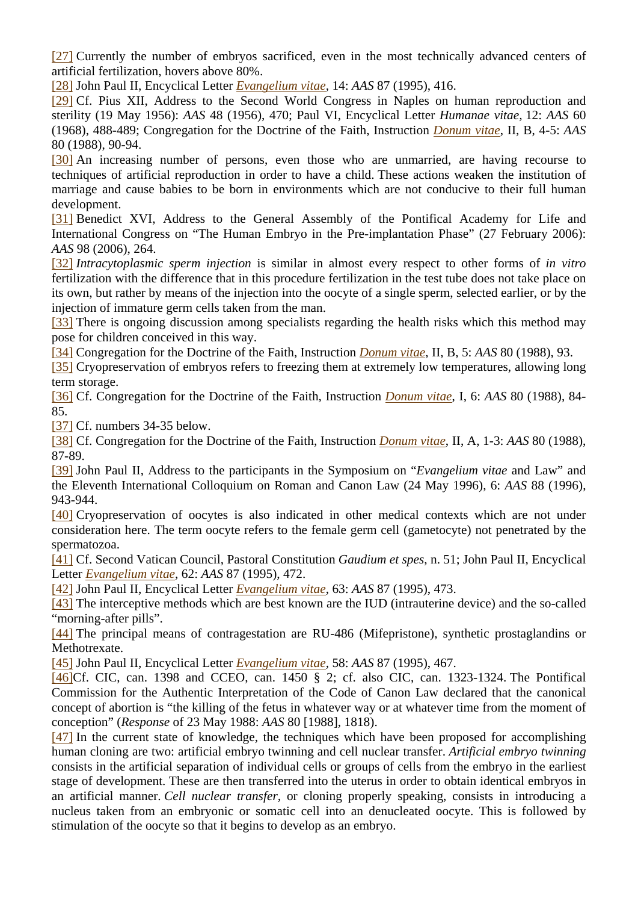[27] Currently the number of embryos sacrificed, even in the most technically advanced centers of artificial fertilization, hovers above 80%.

[28] John Paul II, Encyclical Letter *Evangelium vitae,* 14: *AAS* 87 (1995), 416.

[29] Cf. Pius XII, Address to the Second World Congress in Naples on human reproduction and sterility (19 May 1956): *AAS* 48 (1956), 470; Paul VI, Encyclical Letter *Humanae vitae,* 12: *AAS* 60 (1968), 488-489; Congregation for the Doctrine of the Faith, Instruction *Donum vitae*, II, B, 4-5: *AAS*  80 (1988), 90-94.

[30] An increasing number of persons, even those who are unmarried, are having recourse to techniques of artificial reproduction in order to have a child. These actions weaken the institution of marriage and cause babies to be born in environments which are not conducive to their full human development.

[31] Benedict XVI, Address to the General Assembly of the Pontifical Academy for Life and International Congress on "The Human Embryo in the Pre-implantation Phase" (27 February 2006): *AAS* 98 (2006), 264.

[32] *Intracytoplasmic sperm injection* is similar in almost every respect to other forms of *in vitro* fertilization with the difference that in this procedure fertilization in the test tube does not take place on its own, but rather by means of the injection into the oocyte of a single sperm, selected earlier, or by the injection of immature germ cells taken from the man.

[33] There is ongoing discussion among specialists regarding the health risks which this method may pose for children conceived in this way.

[34] Congregation for the Doctrine of the Faith, Instruction *Donum vitae*, II, B, 5: *AAS* 80 (1988), 93.

[35] Cryopreservation of embryos refers to freezing them at extremely low temperatures, allowing long term storage.

[36] Cf. Congregation for the Doctrine of the Faith, Instruction *Donum vitae*, I, 6: *AAS* 80 (1988), 84- 85.

[37] Cf. numbers 34-35 below.

[38] Cf. Congregation for the Doctrine of the Faith, Instruction *Donum vitae*, II, A, 1-3: *AAS* 80 (1988), 87-89.

[39] John Paul II, Address to the participants in the Symposium on "*Evangelium vitae* and Law" and the Eleventh International Colloquium on Roman and Canon Law (24 May 1996), 6: *AAS* 88 (1996), 943-944.

[40] Cryopreservation of oocytes is also indicated in other medical contexts which are not under consideration here. The term oocyte refers to the female germ cell (gametocyte) not penetrated by the spermatozoa.

[41] Cf. Second Vatican Council, Pastoral Constitution *Gaudium et spes*, n. 51; John Paul II, Encyclical Letter *Evangelium vitae*, 62: *AAS* 87 (1995), 472.

[42] John Paul II, Encyclical Letter *Evangelium vitae*, 63: *AAS* 87 (1995), 473.

[43] The interceptive methods which are best known are the IUD (intrauterine device) and the so-called "morning-after pills".

[44] The principal means of contragestation are RU-486 (Mifepristone), synthetic prostaglandins or Methotrexate.

[45] John Paul II, Encyclical Letter *Evangelium vitae,* 58: *AAS* 87 (1995), 467.

[46]Cf. CIC, can. 1398 and CCEO, can. 1450 § 2; cf. also CIC, can. 1323-1324. The Pontifical Commission for the Authentic Interpretation of the Code of Canon Law declared that the canonical concept of abortion is "the killing of the fetus in whatever way or at whatever time from the moment of conception" (*Response* of 23 May 1988: *AAS* 80 [1988], 1818).

[47] In the current state of knowledge, the techniques which have been proposed for accomplishing human cloning are two: artificial embryo twinning and cell nuclear transfer. *Artificial embryo twinning*  consists in the artificial separation of individual cells or groups of cells from the embryo in the earliest stage of development. These are then transferred into the uterus in order to obtain identical embryos in an artificial manner. *Cell nuclear transfer,* or cloning properly speaking, consists in introducing a nucleus taken from an embryonic or somatic cell into an denucleated oocyte. This is followed by stimulation of the oocyte so that it begins to develop as an embryo.